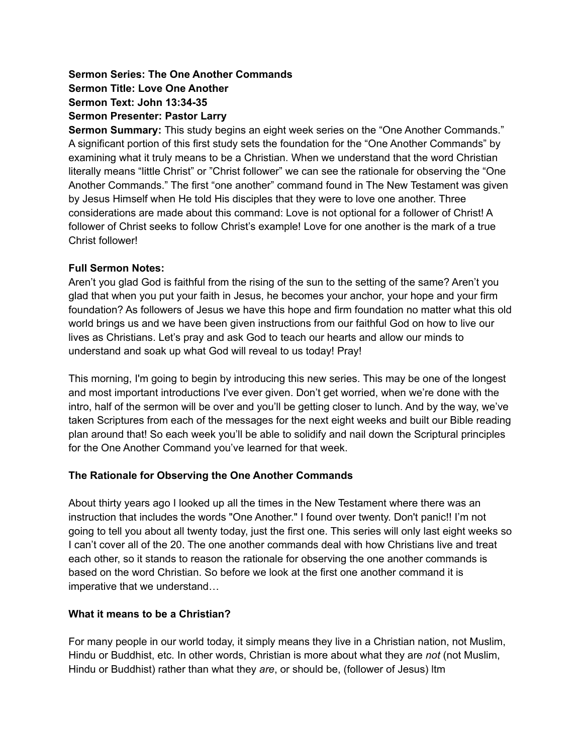# **Sermon Series: The One Another Commands Sermon Title: Love One Another Sermon Text: John 13:34-35 Sermon Presenter: Pastor Larry**

**Sermon Summary:** This study begins an eight week series on the "One Another Commands." A significant portion of this first study sets the foundation for the "One Another Commands" by examining what it truly means to be a Christian. When we understand that the word Christian literally means "little Christ" or "Christ follower" we can see the rationale for observing the "One Another Commands." The first "one another" command found in The New Testament was given by Jesus Himself when He told His disciples that they were to love one another. Three considerations are made about this command: Love is not optional for a follower of Christ! A follower of Christ seeks to follow Christ's example! Love for one another is the mark of a true Christ follower!

### **Full Sermon Notes:**

Aren't you glad God is faithful from the rising of the sun to the setting of the same? Aren't you glad that when you put your faith in Jesus, he becomes your anchor, your hope and your firm foundation? As followers of Jesus we have this hope and firm foundation no matter what this old world brings us and we have been given instructions from our faithful God on how to live our lives as Christians. Let's pray and ask God to teach our hearts and allow our minds to understand and soak up what God will reveal to us today! Pray!

This morning, I'm going to begin by introducing this new series. This may be one of the longest and most important introductions I've ever given. Don't get worried, when we're done with the intro, half of the sermon will be over and you'll be getting closer to lunch. And by the way, we've taken Scriptures from each of the messages for the next eight weeks and built our Bible reading plan around that! So each week you'll be able to solidify and nail down the Scriptural principles for the One Another Command you've learned for that week.

## **The Rationale for Observing the One Another Commands**

About thirty years ago I looked up all the times in the New Testament where there was an instruction that includes the words "One Another." I found over twenty. Don't panic!! I'm not going to tell you about all twenty today, just the first one. This series will only last eight weeks so I can't cover all of the 20. The one another commands deal with how Christians live and treat each other, so it stands to reason the rationale for observing the one another commands is based on the word Christian. So before we look at the first one another command it is imperative that we understand…

## **What it means to be a Christian?**

For many people in our world today, it simply means they live in a Christian nation, not Muslim, Hindu or Buddhist, etc. In other words, Christian is more about what they are *not* (not Muslim, Hindu or Buddhist) rather than what they *are*, or should be, (follower of Jesus) ltm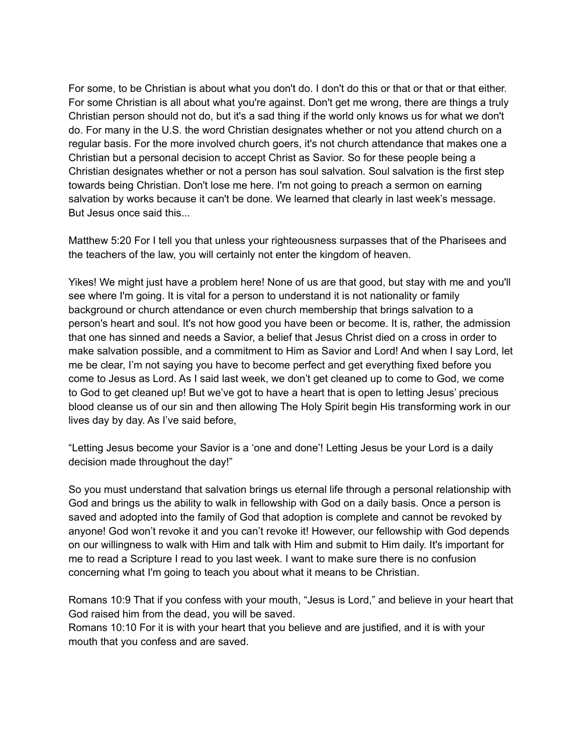For some, to be Christian is about what you don't do. I don't do this or that or that or that either. For some Christian is all about what you're against. Don't get me wrong, there are things a truly Christian person should not do, but it's a sad thing if the world only knows us for what we don't do. For many in the U.S. the word Christian designates whether or not you attend church on a regular basis. For the more involved church goers, it's not church attendance that makes one a Christian but a personal decision to accept Christ as Savior. So for these people being a Christian designates whether or not a person has soul salvation. Soul salvation is the first step towards being Christian. Don't lose me here. I'm not going to preach a sermon on earning salvation by works because it can't be done. We learned that clearly in last week's message. But Jesus once said this...

Matthew 5:20 For I tell you that unless your righteousness surpasses that of the Pharisees and the teachers of the law, you will certainly not enter the kingdom of heaven.

Yikes! We might just have a problem here! None of us are that good, but stay with me and you'll see where I'm going. It is vital for a person to understand it is not nationality or family background or church attendance or even church membership that brings salvation to a person's heart and soul. It's not how good you have been or become. It is, rather, the admission that one has sinned and needs a Savior, a belief that Jesus Christ died on a cross in order to make salvation possible, and a commitment to Him as Savior and Lord! And when I say Lord, let me be clear, I'm not saying you have to become perfect and get everything fixed before you come to Jesus as Lord. As I said last week, we don't get cleaned up to come to God, we come to God to get cleaned up! But we've got to have a heart that is open to letting Jesus' precious blood cleanse us of our sin and then allowing The Holy Spirit begin His transforming work in our lives day by day. As I've said before,

"Letting Jesus become your Savior is a 'one and done'! Letting Jesus be your Lord is a daily decision made throughout the day!"

So you must understand that salvation brings us eternal life through a personal relationship with God and brings us the ability to walk in fellowship with God on a daily basis. Once a person is saved and adopted into the family of God that adoption is complete and cannot be revoked by anyone! God won't revoke it and you can't revoke it! However, our fellowship with God depends on our willingness to walk with Him and talk with Him and submit to Him daily. It's important for me to read a Scripture I read to you last week. I want to make sure there is no confusion concerning what I'm going to teach you about what it means to be Christian.

Romans 10:9 That if you confess with your mouth, "Jesus is Lord," and believe in your heart that God raised him from the dead, you will be saved.

Romans 10:10 For it is with your heart that you believe and are justified, and it is with your mouth that you confess and are saved.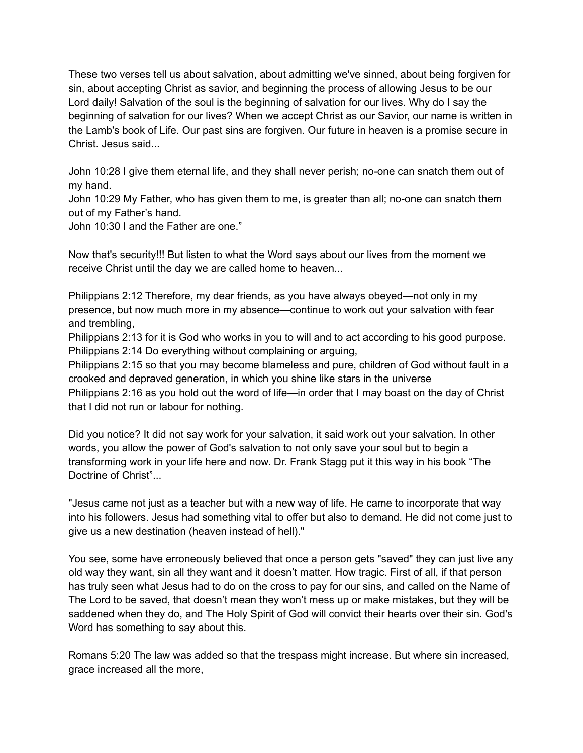These two verses tell us about salvation, about admitting we've sinned, about being forgiven for sin, about accepting Christ as savior, and beginning the process of allowing Jesus to be our Lord daily! Salvation of the soul is the beginning of salvation for our lives. Why do I say the beginning of salvation for our lives? When we accept Christ as our Savior, our name is written in the Lamb's book of Life. Our past sins are forgiven. Our future in heaven is a promise secure in Christ. Jesus said...

John 10:28 I give them eternal life, and they shall never perish; no-one can snatch them out of my hand.

John 10:29 My Father, who has given them to me, is greater than all; no-one can snatch them out of my Father's hand.

John 10:30 I and the Father are one."

Now that's security!!! But listen to what the Word says about our lives from the moment we receive Christ until the day we are called home to heaven...

Philippians 2:12 Therefore, my dear friends, as you have always obeyed—not only in my presence, but now much more in my absence—continue to work out your salvation with fear and trembling,

Philippians 2:13 for it is God who works in you to will and to act according to his good purpose. Philippians 2:14 Do everything without complaining or arguing,

Philippians 2:15 so that you may become blameless and pure, children of God without fault in a crooked and depraved generation, in which you shine like stars in the universe Philippians 2:16 as you hold out the word of life—in order that I may boast on the day of Christ that I did not run or labour for nothing.

Did you notice? It did not say work for your salvation, it said work out your salvation. In other words, you allow the power of God's salvation to not only save your soul but to begin a transforming work in your life here and now. Dr. Frank Stagg put it this way in his book "The Doctrine of Christ"...

"Jesus came not just as a teacher but with a new way of life. He came to incorporate that way into his followers. Jesus had something vital to offer but also to demand. He did not come just to give us a new destination (heaven instead of hell)."

You see, some have erroneously believed that once a person gets "saved" they can just live any old way they want, sin all they want and it doesn't matter. How tragic. First of all, if that person has truly seen what Jesus had to do on the cross to pay for our sins, and called on the Name of The Lord to be saved, that doesn't mean they won't mess up or make mistakes, but they will be saddened when they do, and The Holy Spirit of God will convict their hearts over their sin. God's Word has something to say about this.

Romans 5:20 The law was added so that the trespass might increase. But where sin increased, grace increased all the more,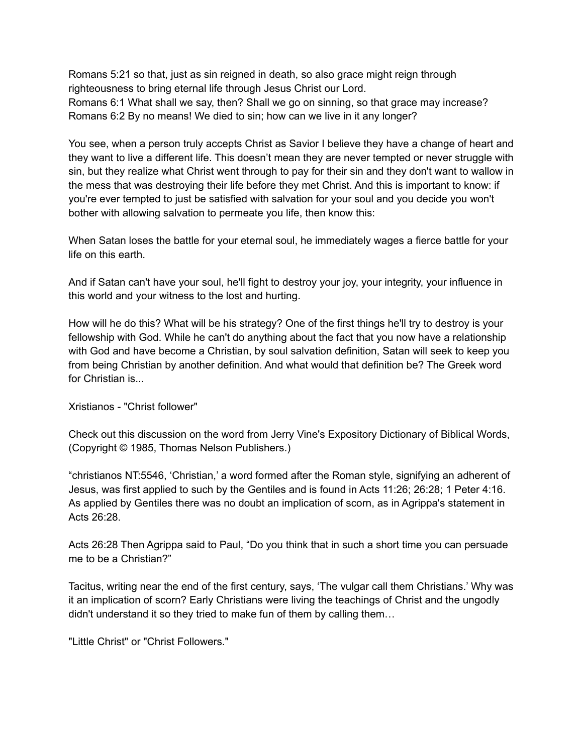Romans 5:21 so that, just as sin reigned in death, so also grace might reign through righteousness to bring eternal life through Jesus Christ our Lord. Romans 6:1 What shall we say, then? Shall we go on sinning, so that grace may increase? Romans 6:2 By no means! We died to sin; how can we live in it any longer?

You see, when a person truly accepts Christ as Savior I believe they have a change of heart and they want to live a different life. This doesn't mean they are never tempted or never struggle with sin, but they realize what Christ went through to pay for their sin and they don't want to wallow in the mess that was destroying their life before they met Christ. And this is important to know: if you're ever tempted to just be satisfied with salvation for your soul and you decide you won't bother with allowing salvation to permeate you life, then know this:

When Satan loses the battle for your eternal soul, he immediately wages a fierce battle for your life on this earth.

And if Satan can't have your soul, he'll fight to destroy your joy, your integrity, your influence in this world and your witness to the lost and hurting.

How will he do this? What will be his strategy? One of the first things he'll try to destroy is your fellowship with God. While he can't do anything about the fact that you now have a relationship with God and have become a Christian, by soul salvation definition, Satan will seek to keep you from being Christian by another definition. And what would that definition be? The Greek word for Christian is...

Xristianos - "Christ follower"

Check out this discussion on the word from Jerry Vine's Expository Dictionary of Biblical Words, (Copyright © 1985, Thomas Nelson Publishers.)

"christianos NT:5546, 'Christian,' a word formed after the Roman style, signifying an adherent of Jesus, was first applied to such by the Gentiles and is found in Acts 11:26; 26:28; 1 Peter 4:16. As applied by Gentiles there was no doubt an implication of scorn, as in Agrippa's statement in Acts 26:28.

Acts 26:28 Then Agrippa said to Paul, "Do you think that in such a short time you can persuade me to be a Christian?"

Tacitus, writing near the end of the first century, says, 'The vulgar call them Christians.' Why was it an implication of scorn? Early Christians were living the teachings of Christ and the ungodly didn't understand it so they tried to make fun of them by calling them…

"Little Christ" or "Christ Followers."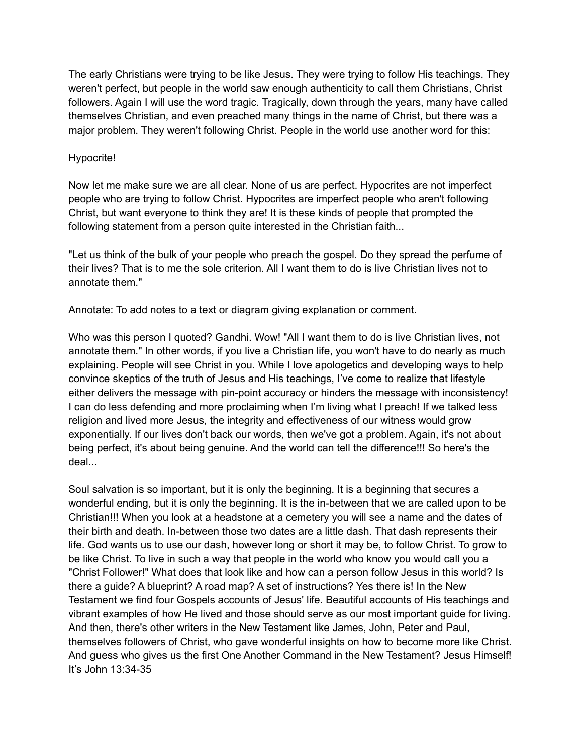The early Christians were trying to be like Jesus. They were trying to follow His teachings. They weren't perfect, but people in the world saw enough authenticity to call them Christians, Christ followers. Again I will use the word tragic. Tragically, down through the years, many have called themselves Christian, and even preached many things in the name of Christ, but there was a major problem. They weren't following Christ. People in the world use another word for this:

### Hypocrite!

Now let me make sure we are all clear. None of us are perfect. Hypocrites are not imperfect people who are trying to follow Christ. Hypocrites are imperfect people who aren't following Christ, but want everyone to think they are! It is these kinds of people that prompted the following statement from a person quite interested in the Christian faith...

"Let us think of the bulk of your people who preach the gospel. Do they spread the perfume of their lives? That is to me the sole criterion. All I want them to do is live Christian lives not to annotate them."

Annotate: To add notes to a text or diagram giving explanation or comment.

Who was this person I quoted? Gandhi. Wow! "All I want them to do is live Christian lives, not annotate them." In other words, if you live a Christian life, you won't have to do nearly as much explaining. People will see Christ in you. While I love apologetics and developing ways to help convince skeptics of the truth of Jesus and His teachings, I've come to realize that lifestyle either delivers the message with pin-point accuracy or hinders the message with inconsistency! I can do less defending and more proclaiming when I'm living what I preach! If we talked less religion and lived more Jesus, the integrity and effectiveness of our witness would grow exponentially. If our lives don't back our words, then we've got a problem. Again, it's not about being perfect, it's about being genuine. And the world can tell the difference!!! So here's the deal...

Soul salvation is so important, but it is only the beginning. It is a beginning that secures a wonderful ending, but it is only the beginning. It is the in-between that we are called upon to be Christian!!! When you look at a headstone at a cemetery you will see a name and the dates of their birth and death. In-between those two dates are a little dash. That dash represents their life. God wants us to use our dash, however long or short it may be, to follow Christ. To grow to be like Christ. To live in such a way that people in the world who know you would call you a "Christ Follower!" What does that look like and how can a person follow Jesus in this world? Is there a guide? A blueprint? A road map? A set of instructions? Yes there is! In the New Testament we find four Gospels accounts of Jesus' life. Beautiful accounts of His teachings and vibrant examples of how He lived and those should serve as our most important guide for living. And then, there's other writers in the New Testament like James, John, Peter and Paul, themselves followers of Christ, who gave wonderful insights on how to become more like Christ. And guess who gives us the first One Another Command in the New Testament? Jesus Himself! It's John 13:34-35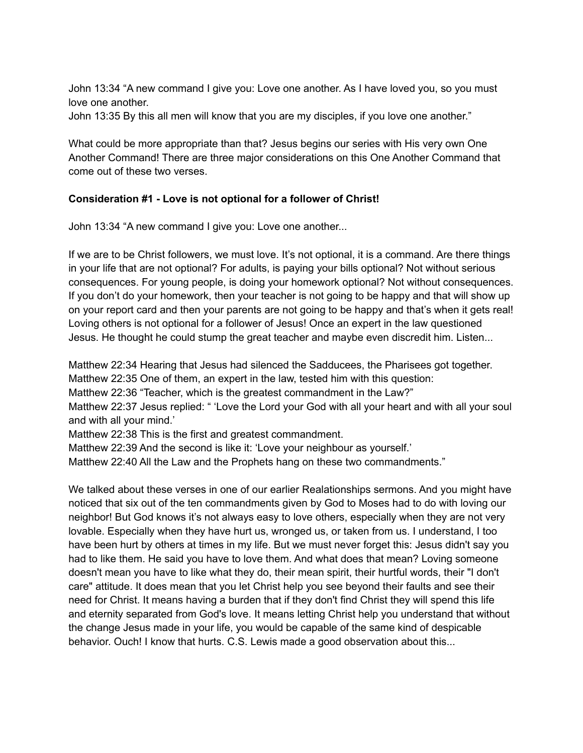John 13:34 "A new command I give you: Love one another. As I have loved you, so you must love one another.

John 13:35 By this all men will know that you are my disciples, if you love one another."

What could be more appropriate than that? Jesus begins our series with His very own One Another Command! There are three major considerations on this One Another Command that come out of these two verses.

#### **Consideration #1 - Love is not optional for a follower of Christ!**

John 13:34 "A new command I give you: Love one another...

If we are to be Christ followers, we must love. It's not optional, it is a command. Are there things in your life that are not optional? For adults, is paying your bills optional? Not without serious consequences. For young people, is doing your homework optional? Not without consequences. If you don't do your homework, then your teacher is not going to be happy and that will show up on your report card and then your parents are not going to be happy and that's when it gets real! Loving others is not optional for a follower of Jesus! Once an expert in the law questioned Jesus. He thought he could stump the great teacher and maybe even discredit him. Listen...

Matthew 22:34 Hearing that Jesus had silenced the Sadducees, the Pharisees got together. Matthew 22:35 One of them, an expert in the law, tested him with this question: Matthew 22:36 "Teacher, which is the greatest commandment in the Law?" Matthew 22:37 Jesus replied: " 'Love the Lord your God with all your heart and with all your soul and with all your mind.' Matthew 22:38 This is the first and greatest commandment. Matthew 22:39 And the second is like it: 'Love your neighbour as yourself.' Matthew 22:40 All the Law and the Prophets hang on these two commandments."

We talked about these verses in one of our earlier Realationships sermons. And you might have noticed that six out of the ten commandments given by God to Moses had to do with loving our neighbor! But God knows it's not always easy to love others, especially when they are not very lovable. Especially when they have hurt us, wronged us, or taken from us. I understand, I too have been hurt by others at times in my life. But we must never forget this: Jesus didn't say you had to like them. He said you have to love them. And what does that mean? Loving someone doesn't mean you have to like what they do, their mean spirit, their hurtful words, their "I don't care" attitude. It does mean that you let Christ help you see beyond their faults and see their need for Christ. It means having a burden that if they don't find Christ they will spend this life and eternity separated from God's love. It means letting Christ help you understand that without the change Jesus made in your life, you would be capable of the same kind of despicable behavior. Ouch! I know that hurts. C.S. Lewis made a good observation about this...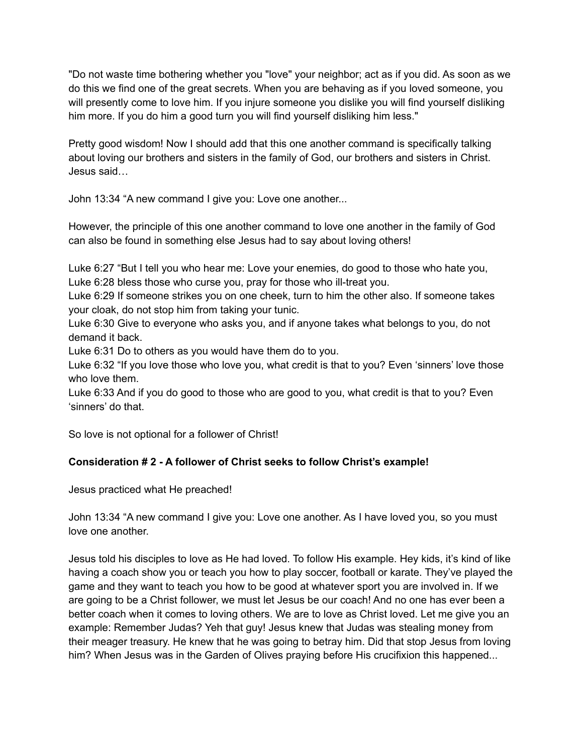"Do not waste time bothering whether you "love" your neighbor; act as if you did. As soon as we do this we find one of the great secrets. When you are behaving as if you loved someone, you will presently come to love him. If you injure someone you dislike you will find yourself disliking him more. If you do him a good turn you will find yourself disliking him less."

Pretty good wisdom! Now I should add that this one another command is specifically talking about loving our brothers and sisters in the family of God, our brothers and sisters in Christ. Jesus said…

John 13:34 "A new command I give you: Love one another...

However, the principle of this one another command to love one another in the family of God can also be found in something else Jesus had to say about loving others!

Luke 6:27 "But I tell you who hear me: Love your enemies, do good to those who hate you, Luke 6:28 bless those who curse you, pray for those who ill-treat you.

Luke 6:29 If someone strikes you on one cheek, turn to him the other also. If someone takes your cloak, do not stop him from taking your tunic.

Luke 6:30 Give to everyone who asks you, and if anyone takes what belongs to you, do not demand it back.

Luke 6:31 Do to others as you would have them do to you.

Luke 6:32 "If you love those who love you, what credit is that to you? Even 'sinners' love those who love them.

Luke 6:33 And if you do good to those who are good to you, what credit is that to you? Even 'sinners' do that.

So love is not optional for a follower of Christ!

# **Consideration # 2 - A follower of Christ seeks to follow Christ's example!**

Jesus practiced what He preached!

John 13:34 "A new command I give you: Love one another. As I have loved you, so you must love one another.

Jesus told his disciples to love as He had loved. To follow His example. Hey kids, it's kind of like having a coach show you or teach you how to play soccer, football or karate. They've played the game and they want to teach you how to be good at whatever sport you are involved in. If we are going to be a Christ follower, we must let Jesus be our coach! And no one has ever been a better coach when it comes to loving others. We are to love as Christ loved. Let me give you an example: Remember Judas? Yeh that guy! Jesus knew that Judas was stealing money from their meager treasury. He knew that he was going to betray him. Did that stop Jesus from loving him? When Jesus was in the Garden of Olives praying before His crucifixion this happened...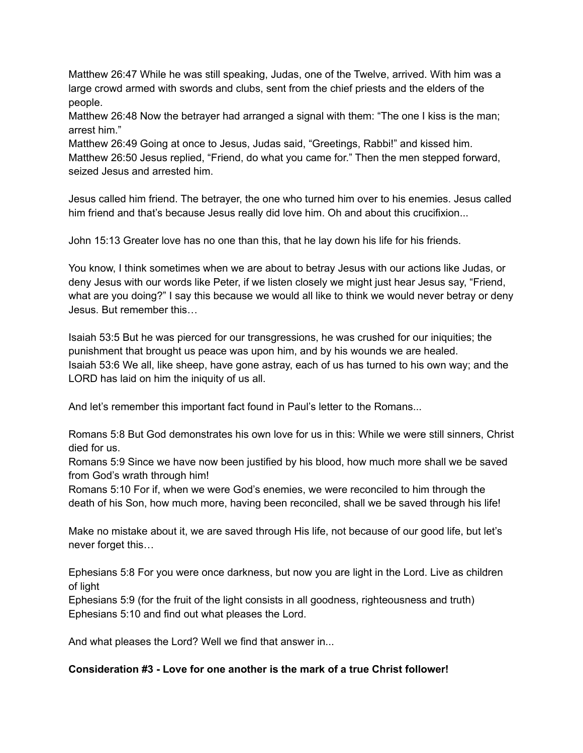Matthew 26:47 While he was still speaking, Judas, one of the Twelve, arrived. With him was a large crowd armed with swords and clubs, sent from the chief priests and the elders of the people.

Matthew 26:48 Now the betrayer had arranged a signal with them: "The one I kiss is the man; arrest him."

Matthew 26:49 Going at once to Jesus, Judas said, "Greetings, Rabbi!" and kissed him. Matthew 26:50 Jesus replied, "Friend, do what you came for." Then the men stepped forward, seized Jesus and arrested him.

Jesus called him friend. The betrayer, the one who turned him over to his enemies. Jesus called him friend and that's because Jesus really did love him. Oh and about this crucifixion...

John 15:13 Greater love has no one than this, that he lay down his life for his friends.

You know, I think sometimes when we are about to betray Jesus with our actions like Judas, or deny Jesus with our words like Peter, if we listen closely we might just hear Jesus say, "Friend, what are you doing?" I say this because we would all like to think we would never betray or deny Jesus. But remember this…

Isaiah 53:5 But he was pierced for our transgressions, he was crushed for our iniquities; the punishment that brought us peace was upon him, and by his wounds we are healed. Isaiah 53:6 We all, like sheep, have gone astray, each of us has turned to his own way; and the LORD has laid on him the iniquity of us all.

And let's remember this important fact found in Paul's letter to the Romans...

Romans 5:8 But God demonstrates his own love for us in this: While we were still sinners, Christ died for us.

Romans 5:9 Since we have now been justified by his blood, how much more shall we be saved from God's wrath through him!

Romans 5:10 For if, when we were God's enemies, we were reconciled to him through the death of his Son, how much more, having been reconciled, shall we be saved through his life!

Make no mistake about it, we are saved through His life, not because of our good life, but let's never forget this…

Ephesians 5:8 For you were once darkness, but now you are light in the Lord. Live as children of light

Ephesians 5:9 (for the fruit of the light consists in all goodness, righteousness and truth) Ephesians 5:10 and find out what pleases the Lord.

And what pleases the Lord? Well we find that answer in...

## **Consideration #3 - Love for one another is the mark of a true Christ follower!**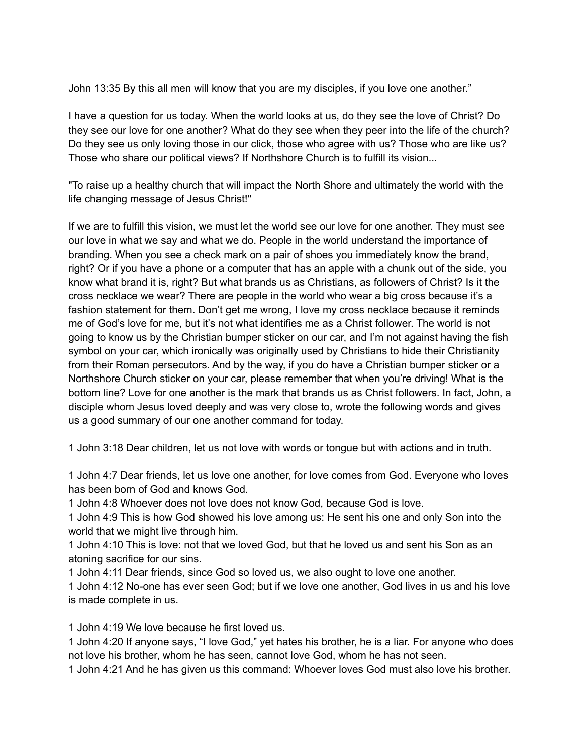John 13:35 By this all men will know that you are my disciples, if you love one another."

I have a question for us today. When the world looks at us, do they see the love of Christ? Do they see our love for one another? What do they see when they peer into the life of the church? Do they see us only loving those in our click, those who agree with us? Those who are like us? Those who share our political views? If Northshore Church is to fulfill its vision...

"To raise up a healthy church that will impact the North Shore and ultimately the world with the life changing message of Jesus Christ!"

If we are to fulfill this vision, we must let the world see our love for one another. They must see our love in what we say and what we do. People in the world understand the importance of branding. When you see a check mark on a pair of shoes you immediately know the brand, right? Or if you have a phone or a computer that has an apple with a chunk out of the side, you know what brand it is, right? But what brands us as Christians, as followers of Christ? Is it the cross necklace we wear? There are people in the world who wear a big cross because it's a fashion statement for them. Don't get me wrong, I love my cross necklace because it reminds me of God's love for me, but it's not what identifies me as a Christ follower. The world is not going to know us by the Christian bumper sticker on our car, and I'm not against having the fish symbol on your car, which ironically was originally used by Christians to hide their Christianity from their Roman persecutors. And by the way, if you do have a Christian bumper sticker or a Northshore Church sticker on your car, please remember that when you're driving! What is the bottom line? Love for one another is the mark that brands us as Christ followers. In fact, John, a disciple whom Jesus loved deeply and was very close to, wrote the following words and gives us a good summary of our one another command for today.

1 John 3:18 Dear children, let us not love with words or tongue but with actions and in truth.

1 John 4:7 Dear friends, let us love one another, for love comes from God. Everyone who loves has been born of God and knows God.

1 John 4:8 Whoever does not love does not know God, because God is love.

1 John 4:9 This is how God showed his love among us: He sent his one and only Son into the world that we might live through him.

1 John 4:10 This is love: not that we loved God, but that he loved us and sent his Son as an atoning sacrifice for our sins.

1 John 4:11 Dear friends, since God so loved us, we also ought to love one another.

1 John 4:12 No-one has ever seen God; but if we love one another, God lives in us and his love is made complete in us.

1 John 4:19 We love because he first loved us.

1 John 4:20 If anyone says, "I love God," yet hates his brother, he is a liar. For anyone who does not love his brother, whom he has seen, cannot love God, whom he has not seen.

1 John 4:21 And he has given us this command: Whoever loves God must also love his brother.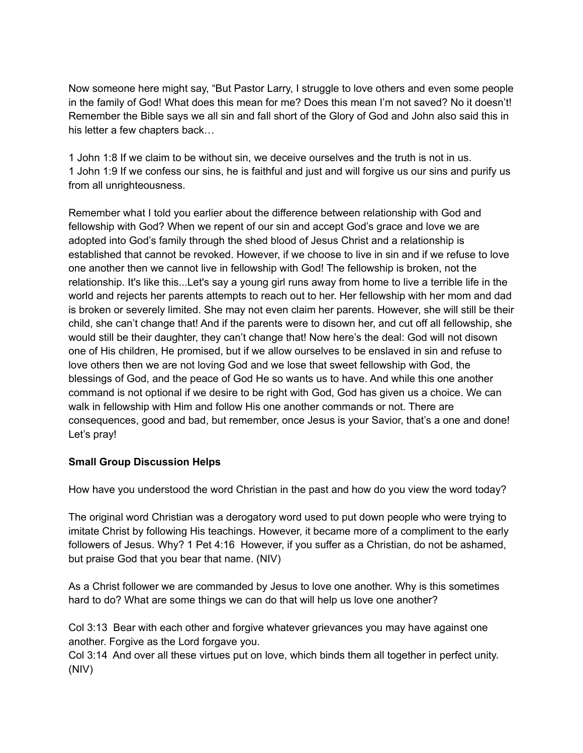Now someone here might say, "But Pastor Larry, I struggle to love others and even some people in the family of God! What does this mean for me? Does this mean I'm not saved? No it doesn't! Remember the Bible says we all sin and fall short of the Glory of God and John also said this in his letter a few chapters back…

1 John 1:8 If we claim to be without sin, we deceive ourselves and the truth is not in us. 1 John 1:9 If we confess our sins, he is faithful and just and will forgive us our sins and purify us from all unrighteousness.

Remember what I told you earlier about the difference between relationship with God and fellowship with God? When we repent of our sin and accept God's grace and love we are adopted into God's family through the shed blood of Jesus Christ and a relationship is established that cannot be revoked. However, if we choose to live in sin and if we refuse to love one another then we cannot live in fellowship with God! The fellowship is broken, not the relationship. It's like this...Let's say a young girl runs away from home to live a terrible life in the world and rejects her parents attempts to reach out to her. Her fellowship with her mom and dad is broken or severely limited. She may not even claim her parents. However, she will still be their child, she can't change that! And if the parents were to disown her, and cut off all fellowship, she would still be their daughter, they can't change that! Now here's the deal: God will not disown one of His children, He promised, but if we allow ourselves to be enslaved in sin and refuse to love others then we are not loving God and we lose that sweet fellowship with God, the blessings of God, and the peace of God He so wants us to have. And while this one another command is not optional if we desire to be right with God, God has given us a choice. We can walk in fellowship with Him and follow His one another commands or not. There are consequences, good and bad, but remember, once Jesus is your Savior, that's a one and done! Let's pray!

## **Small Group Discussion Helps**

How have you understood the word Christian in the past and how do you view the word today?

The original word Christian was a derogatory word used to put down people who were trying to imitate Christ by following His teachings. However, it became more of a compliment to the early followers of Jesus. Why? 1 Pet 4:16 However, if you suffer as a Christian, do not be ashamed, but praise God that you bear that name. (NIV)

As a Christ follower we are commanded by Jesus to love one another. Why is this sometimes hard to do? What are some things we can do that will help us love one another?

Col 3:13 Bear with each other and forgive whatever grievances you may have against one another. Forgive as the Lord forgave you.

Col 3:14 And over all these virtues put on love, which binds them all together in perfect unity. (NIV)